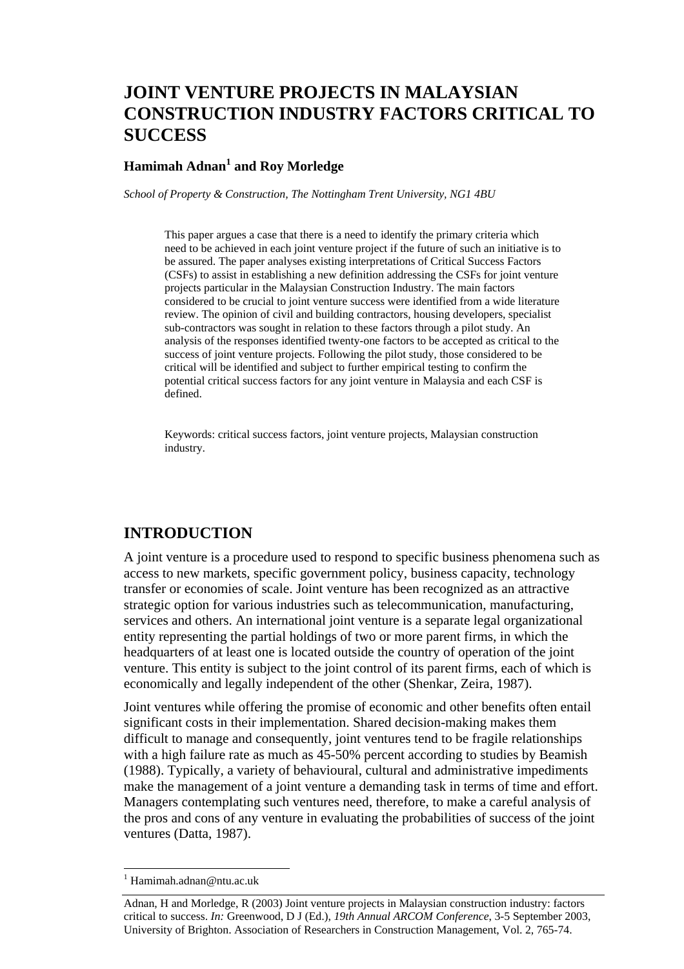# **JOINT VENTURE PROJECTS IN MALAYSIAN CONSTRUCTION INDUSTRY FACTORS CRITICAL TO SUCCESS**

#### **Hamimah Adnan<sup>1</sup> and Roy Morledge**

*School of Property & Construction, The Nottingham Trent University, NG1 4BU* 

This paper argues a case that there is a need to identify the primary criteria which need to be achieved in each joint venture project if the future of such an initiative is to be assured. The paper analyses existing interpretations of Critical Success Factors (CSFs) to assist in establishing a new definition addressing the CSFs for joint venture projects particular in the Malaysian Construction Industry. The main factors considered to be crucial to joint venture success were identified from a wide literature review. The opinion of civil and building contractors, housing developers, specialist sub-contractors was sought in relation to these factors through a pilot study. An analysis of the responses identified twenty-one factors to be accepted as critical to the success of joint venture projects. Following the pilot study, those considered to be critical will be identified and subject to further empirical testing to confirm the potential critical success factors for any joint venture in Malaysia and each CSF is defined.

Keywords: critical success factors, joint venture projects, Malaysian construction industry.

## **INTRODUCTION**

A joint venture is a procedure used to respond to specific business phenomena such as access to new markets, specific government policy, business capacity, technology transfer or economies of scale. Joint venture has been recognized as an attractive strategic option for various industries such as telecommunication, manufacturing, services and others. An international joint venture is a separate legal organizational entity representing the partial holdings of two or more parent firms, in which the headquarters of at least one is located outside the country of operation of the joint venture. This entity is subject to the joint control of its parent firms, each of which is economically and legally independent of the other (Shenkar, Zeira, 1987).

Joint ventures while offering the promise of economic and other benefits often entail significant costs in their implementation. Shared decision-making makes them difficult to manage and consequently, joint ventures tend to be fragile relationships with a high failure rate as much as  $45-50\%$  percent according to studies by Beamish (1988). Typically, a variety of behavioural, cultural and administrative impediments make the management of a joint venture a demanding task in terms of time and effort. Managers contemplating such ventures need, therefore, to make a careful analysis of the pros and cons of any venture in evaluating the probabilities of success of the joint ventures (Datta, 1987).

l

<sup>1</sup> Hamimah.adnan@ntu.ac.uk

Adnan, H and Morledge, R (2003) Joint venture projects in Malaysian construction industry: factors critical to success. *In:* Greenwood, D J (Ed.), *19th Annual ARCOM Conference*, 3-5 September 2003, University of Brighton. Association of Researchers in Construction Management, Vol. 2, 765-74.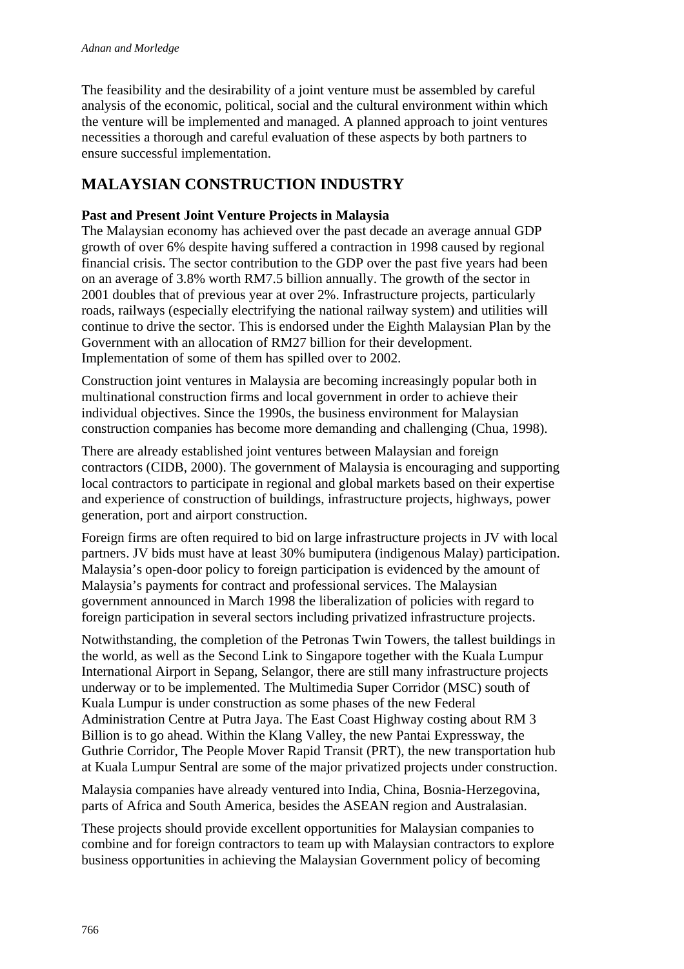The feasibility and the desirability of a joint venture must be assembled by careful analysis of the economic, political, social and the cultural environment within which the venture will be implemented and managed. A planned approach to joint ventures necessities a thorough and careful evaluation of these aspects by both partners to ensure successful implementation.

## **MALAYSIAN CONSTRUCTION INDUSTRY**

#### **Past and Present Joint Venture Projects in Malaysia**

The Malaysian economy has achieved over the past decade an average annual GDP growth of over 6% despite having suffered a contraction in 1998 caused by regional financial crisis. The sector contribution to the GDP over the past five years had been on an average of 3.8% worth RM7.5 billion annually. The growth of the sector in 2001 doubles that of previous year at over 2%. Infrastructure projects, particularly roads, railways (especially electrifying the national railway system) and utilities will continue to drive the sector. This is endorsed under the Eighth Malaysian Plan by the Government with an allocation of RM27 billion for their development. Implementation of some of them has spilled over to 2002.

Construction joint ventures in Malaysia are becoming increasingly popular both in multinational construction firms and local government in order to achieve their individual objectives. Since the 1990s, the business environment for Malaysian construction companies has become more demanding and challenging (Chua, 1998).

There are already established joint ventures between Malaysian and foreign contractors (CIDB, 2000). The government of Malaysia is encouraging and supporting local contractors to participate in regional and global markets based on their expertise and experience of construction of buildings, infrastructure projects, highways, power generation, port and airport construction.

Foreign firms are often required to bid on large infrastructure projects in JV with local partners. JV bids must have at least 30% bumiputera (indigenous Malay) participation. Malaysia's open-door policy to foreign participation is evidenced by the amount of Malaysia's payments for contract and professional services. The Malaysian government announced in March 1998 the liberalization of policies with regard to foreign participation in several sectors including privatized infrastructure projects.

Notwithstanding, the completion of the Petronas Twin Towers, the tallest buildings in the world, as well as the Second Link to Singapore together with the Kuala Lumpur International Airport in Sepang, Selangor, there are still many infrastructure projects underway or to be implemented. The Multimedia Super Corridor (MSC) south of Kuala Lumpur is under construction as some phases of the new Federal Administration Centre at Putra Jaya. The East Coast Highway costing about RM 3 Billion is to go ahead. Within the Klang Valley, the new Pantai Expressway, the Guthrie Corridor, The People Mover Rapid Transit (PRT), the new transportation hub at Kuala Lumpur Sentral are some of the major privatized projects under construction.

Malaysia companies have already ventured into India, China, Bosnia-Herzegovina, parts of Africa and South America, besides the ASEAN region and Australasian.

These projects should provide excellent opportunities for Malaysian companies to combine and for foreign contractors to team up with Malaysian contractors to explore business opportunities in achieving the Malaysian Government policy of becoming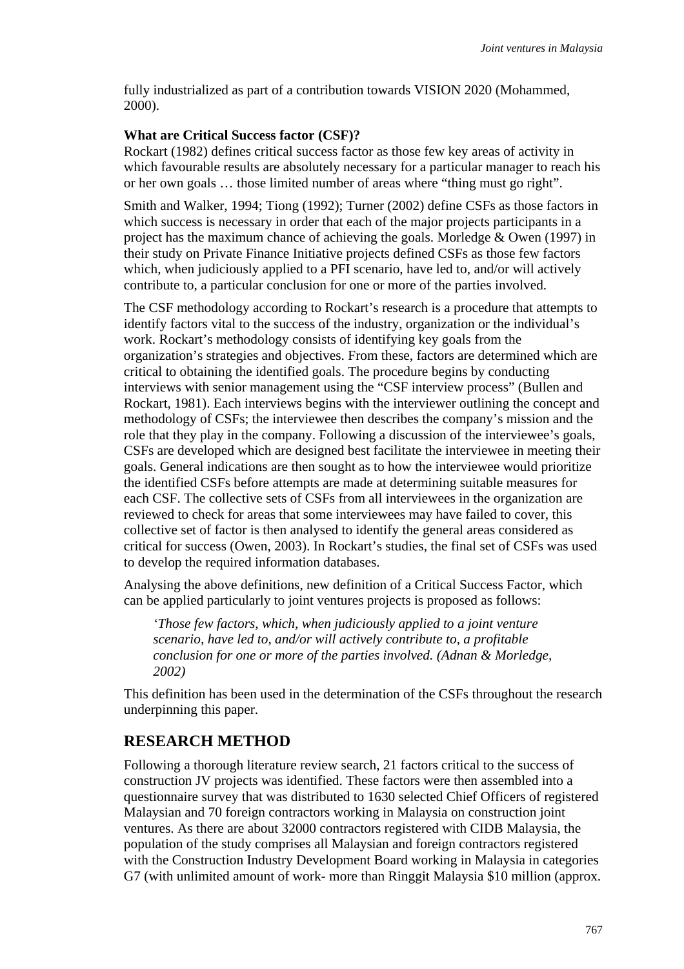fully industrialized as part of a contribution towards VISION 2020 (Mohammed, 2000).

#### **What are Critical Success factor (CSF)?**

Rockart (1982) defines critical success factor as those few key areas of activity in which favourable results are absolutely necessary for a particular manager to reach his or her own goals … those limited number of areas where "thing must go right".

Smith and Walker, 1994; Tiong (1992); Turner (2002) define CSFs as those factors in which success is necessary in order that each of the major projects participants in a project has the maximum chance of achieving the goals. Morledge & Owen (1997) in their study on Private Finance Initiative projects defined CSFs as those few factors which, when judiciously applied to a PFI scenario, have led to, and/or will actively contribute to, a particular conclusion for one or more of the parties involved.

The CSF methodology according to Rockart's research is a procedure that attempts to identify factors vital to the success of the industry, organization or the individual's work. Rockart's methodology consists of identifying key goals from the organization's strategies and objectives. From these, factors are determined which are critical to obtaining the identified goals. The procedure begins by conducting interviews with senior management using the "CSF interview process" (Bullen and Rockart, 1981). Each interviews begins with the interviewer outlining the concept and methodology of CSFs; the interviewee then describes the company's mission and the role that they play in the company. Following a discussion of the interviewee's goals, CSFs are developed which are designed best facilitate the interviewee in meeting their goals. General indications are then sought as to how the interviewee would prioritize the identified CSFs before attempts are made at determining suitable measures for each CSF. The collective sets of CSFs from all interviewees in the organization are reviewed to check for areas that some interviewees may have failed to cover, this collective set of factor is then analysed to identify the general areas considered as critical for success (Owen, 2003). In Rockart's studies, the final set of CSFs was used to develop the required information databases.

Analysing the above definitions, new definition of a Critical Success Factor, which can be applied particularly to joint ventures projects is proposed as follows:

*'Those few factors, which, when judiciously applied to a joint venture scenario, have led to, and/or will actively contribute to, a profitable conclusion for one or more of the parties involved. (Adnan & Morledge, 2002)* 

This definition has been used in the determination of the CSFs throughout the research underpinning this paper.

## **RESEARCH METHOD**

Following a thorough literature review search, 21 factors critical to the success of construction JV projects was identified. These factors were then assembled into a questionnaire survey that was distributed to 1630 selected Chief Officers of registered Malaysian and 70 foreign contractors working in Malaysia on construction joint ventures. As there are about 32000 contractors registered with CIDB Malaysia, the population of the study comprises all Malaysian and foreign contractors registered with the Construction Industry Development Board working in Malaysia in categories G7 (with unlimited amount of work- more than Ringgit Malaysia \$10 million (approx.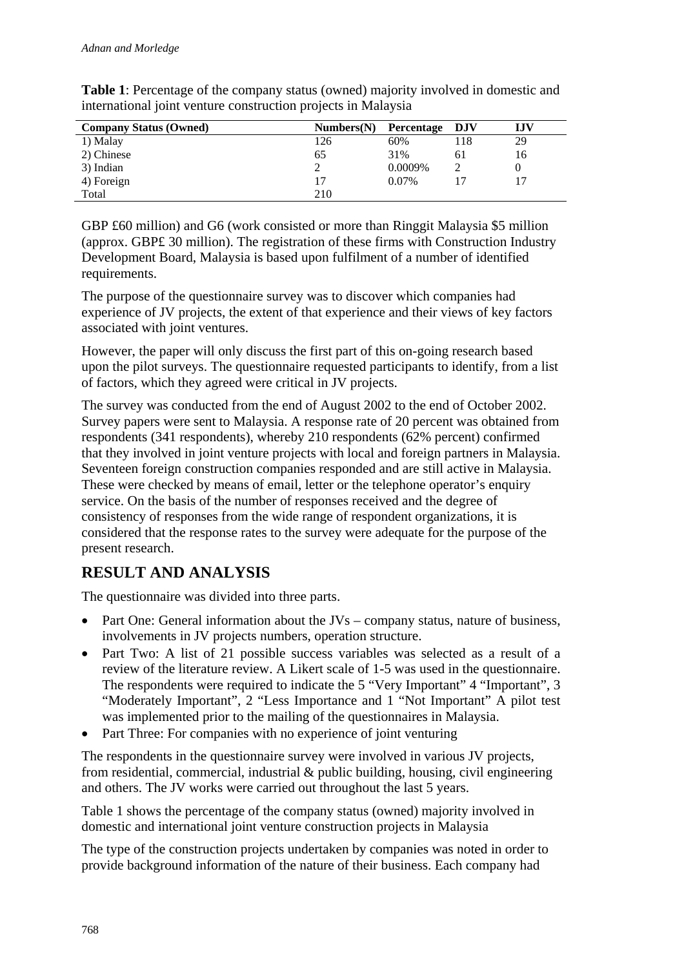| <b>Company Status (Owned)</b> | Numbers(N) | Percentage DJV |     | IJV |
|-------------------------------|------------|----------------|-----|-----|
| 1) Malay                      | 126        | 60%            | 118 | 29  |
| 2) Chinese                    | 65         | 31%            | 6 I | 16  |
| 3) Indian                     |            | 0.0009%        |     |     |
| 4) Foreign                    |            | $0.07\%$       |     |     |
| Total                         | 210        |                |     |     |

**Table 1**: Percentage of the company status (owned) majority involved in domestic and international joint venture construction projects in Malaysia

GBP £60 million) and G6 (work consisted or more than Ringgit Malaysia \$5 million (approx. GBP£ 30 million). The registration of these firms with Construction Industry Development Board, Malaysia is based upon fulfilment of a number of identified requirements.

The purpose of the questionnaire survey was to discover which companies had experience of JV projects, the extent of that experience and their views of key factors associated with joint ventures.

However, the paper will only discuss the first part of this on-going research based upon the pilot surveys. The questionnaire requested participants to identify, from a list of factors, which they agreed were critical in JV projects.

The survey was conducted from the end of August 2002 to the end of October 2002. Survey papers were sent to Malaysia. A response rate of 20 percent was obtained from respondents (341 respondents), whereby 210 respondents (62% percent) confirmed that they involved in joint venture projects with local and foreign partners in Malaysia. Seventeen foreign construction companies responded and are still active in Malaysia. These were checked by means of email, letter or the telephone operator's enquiry service. On the basis of the number of responses received and the degree of consistency of responses from the wide range of respondent organizations, it is considered that the response rates to the survey were adequate for the purpose of the present research.

## **RESULT AND ANALYSIS**

The questionnaire was divided into three parts.

- Part One: General information about the JVs company status, nature of business, involvements in JV projects numbers, operation structure.
- Part Two: A list of 21 possible success variables was selected as a result of a review of the literature review. A Likert scale of 1-5 was used in the questionnaire. The respondents were required to indicate the 5 "Very Important" 4 "Important", 3 "Moderately Important", 2 "Less Importance and 1 "Not Important" A pilot test was implemented prior to the mailing of the questionnaires in Malaysia.
- Part Three: For companies with no experience of joint venturing

The respondents in the questionnaire survey were involved in various JV projects, from residential, commercial, industrial & public building, housing, civil engineering and others. The JV works were carried out throughout the last 5 years.

Table 1 shows the percentage of the company status (owned) majority involved in domestic and international joint venture construction projects in Malaysia

The type of the construction projects undertaken by companies was noted in order to provide background information of the nature of their business. Each company had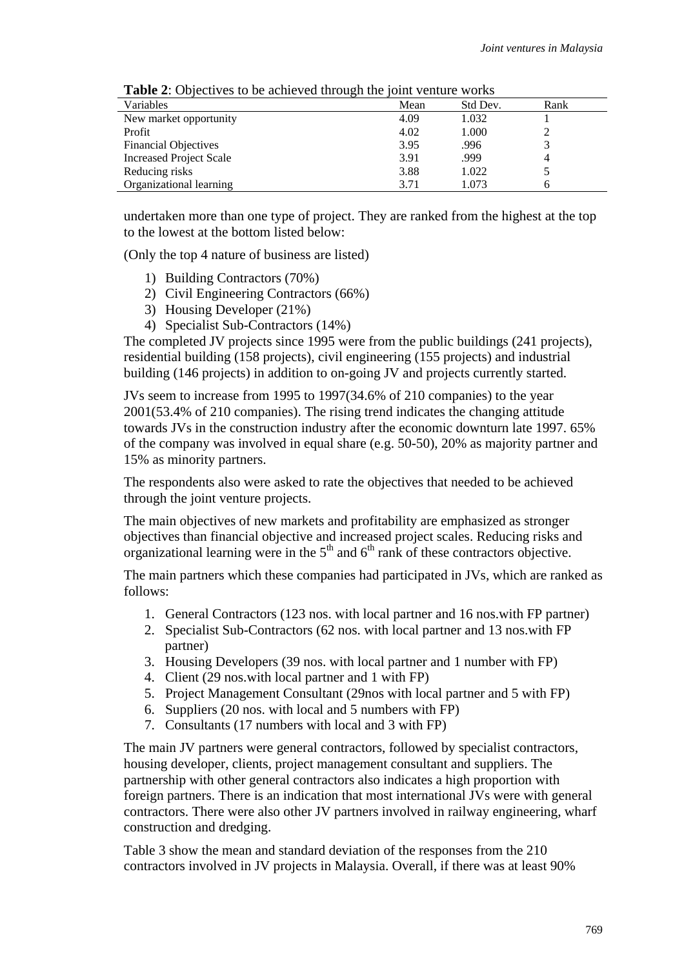| <b>Table 2.</b> Objectives to be achieved through the joint venture works |      |          |      |  |  |  |
|---------------------------------------------------------------------------|------|----------|------|--|--|--|
| Variables                                                                 | Mean | Std Dev. | Rank |  |  |  |
| New market opportunity                                                    | 4.09 | 1.032    |      |  |  |  |
| Profit                                                                    | 4.02 | 1.000    |      |  |  |  |
| <b>Financial Objectives</b>                                               | 3.95 | .996     |      |  |  |  |
| <b>Increased Project Scale</b>                                            | 3.91 | .999     |      |  |  |  |
| Reducing risks                                                            | 3.88 | 1.022    |      |  |  |  |
| Organizational learning                                                   | 3.71 | 1.073    |      |  |  |  |

**Table 2**: Objectives to be achieved through the joint venture works

undertaken more than one type of project. They are ranked from the highest at the top to the lowest at the bottom listed below:

(Only the top 4 nature of business are listed)

- 1) Building Contractors (70%)
- 2) Civil Engineering Contractors (66%)
- 3) Housing Developer (21%)
- 4) Specialist Sub-Contractors (14%)

The completed JV projects since 1995 were from the public buildings (241 projects), residential building (158 projects), civil engineering (155 projects) and industrial building (146 projects) in addition to on-going JV and projects currently started.

JVs seem to increase from 1995 to 1997(34.6% of 210 companies) to the year 2001(53.4% of 210 companies). The rising trend indicates the changing attitude towards JVs in the construction industry after the economic downturn late 1997. 65% of the company was involved in equal share (e.g. 50-50), 20% as majority partner and 15% as minority partners.

The respondents also were asked to rate the objectives that needed to be achieved through the joint venture projects.

The main objectives of new markets and profitability are emphasized as stronger objectives than financial objective and increased project scales. Reducing risks and organizational learning were in the  $5<sup>th</sup>$  and  $6<sup>th</sup>$  rank of these contractors objective.

The main partners which these companies had participated in JVs, which are ranked as follows:

- 1. General Contractors (123 nos. with local partner and 16 nos.with FP partner)
- 2. Specialist Sub-Contractors (62 nos. with local partner and 13 nos.with FP partner)
- 3. Housing Developers (39 nos. with local partner and 1 number with FP)
- 4. Client (29 nos.with local partner and 1 with FP)
- 5. Project Management Consultant (29nos with local partner and 5 with FP)
- 6. Suppliers (20 nos. with local and 5 numbers with FP)
- 7. Consultants (17 numbers with local and 3 with FP)

The main JV partners were general contractors, followed by specialist contractors, housing developer, clients, project management consultant and suppliers. The partnership with other general contractors also indicates a high proportion with foreign partners. There is an indication that most international JVs were with general contractors. There were also other JV partners involved in railway engineering, wharf construction and dredging.

Table 3 show the mean and standard deviation of the responses from the 210 contractors involved in JV projects in Malaysia. Overall, if there was at least 90%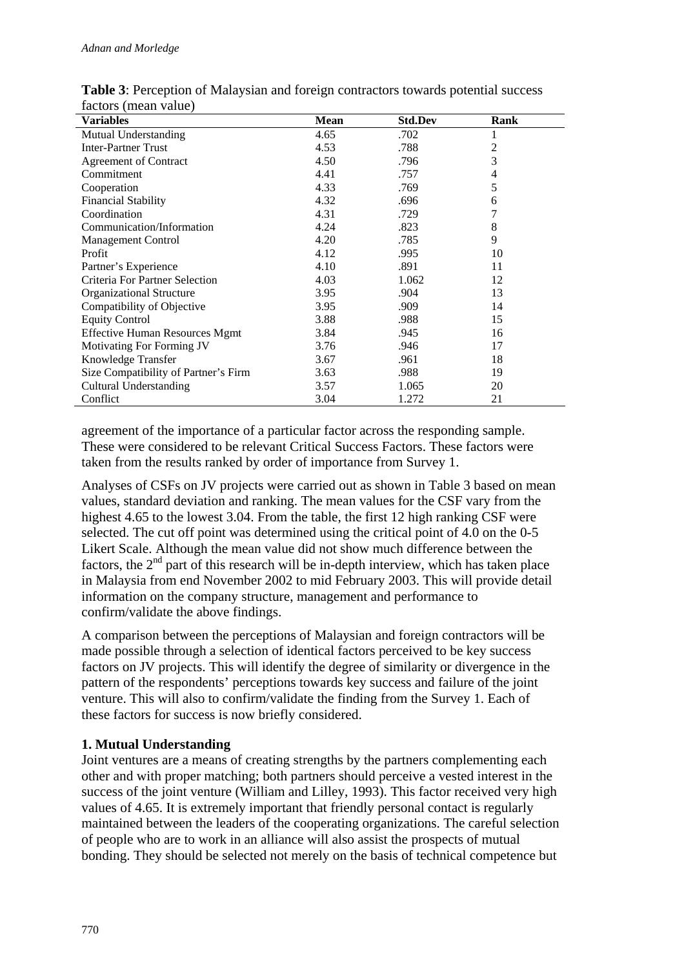| <b>Variables</b>                      | <b>Mean</b> | <b>Std.Dev</b> | Rank |  |
|---------------------------------------|-------------|----------------|------|--|
| Mutual Understanding                  | 4.65        | .702           | 1    |  |
| <b>Inter-Partner Trust</b>            | 4.53        | .788           | 2    |  |
| <b>Agreement of Contract</b>          | 4.50        | .796           | 3    |  |
| Commitment                            | 4.41        | .757           | 4    |  |
| Cooperation                           | 4.33        | .769           | 5    |  |
| <b>Financial Stability</b>            | 4.32        | .696           | 6    |  |
| Coordination                          | 4.31        | .729           |      |  |
| Communication/Information             | 4.24        | .823           | 8    |  |
| <b>Management Control</b>             | 4.20        | .785           | 9    |  |
| Profit                                | 4.12        | .995           | 10   |  |
| Partner's Experience                  | 4.10        | .891           | 11   |  |
| Criteria For Partner Selection        | 4.03        | 1.062          | 12   |  |
| Organizational Structure              | 3.95        | .904           | 13   |  |
| Compatibility of Objective            | 3.95        | .909           | 14   |  |
| <b>Equity Control</b>                 | 3.88        | .988           | 15   |  |
| <b>Effective Human Resources Mgmt</b> | 3.84        | .945           | 16   |  |
| Motivating For Forming JV             | 3.76        | .946           | 17   |  |
| Knowledge Transfer                    | 3.67        | .961           | 18   |  |
| Size Compatibility of Partner's Firm  | 3.63        | .988           | 19   |  |
| <b>Cultural Understanding</b>         | 3.57        | 1.065          | 20   |  |
| Conflict                              | 3.04        | 1.272          | 21   |  |

**Table 3**: Perception of Malaysian and foreign contractors towards potential success factors (mean value)

agreement of the importance of a particular factor across the responding sample. These were considered to be relevant Critical Success Factors. These factors were taken from the results ranked by order of importance from Survey 1.

Analyses of CSFs on JV projects were carried out as shown in Table 3 based on mean values, standard deviation and ranking. The mean values for the CSF vary from the highest 4.65 to the lowest 3.04. From the table, the first 12 high ranking CSF were selected. The cut off point was determined using the critical point of 4.0 on the 0-5 Likert Scale. Although the mean value did not show much difference between the factors, the  $2<sup>nd</sup>$  part of this research will be in-depth interview, which has taken place in Malaysia from end November 2002 to mid February 2003. This will provide detail information on the company structure, management and performance to confirm/validate the above findings.

A comparison between the perceptions of Malaysian and foreign contractors will be made possible through a selection of identical factors perceived to be key success factors on JV projects. This will identify the degree of similarity or divergence in the pattern of the respondents' perceptions towards key success and failure of the joint venture. This will also to confirm/validate the finding from the Survey 1. Each of these factors for success is now briefly considered.

## **1. Mutual Understanding**

Joint ventures are a means of creating strengths by the partners complementing each other and with proper matching; both partners should perceive a vested interest in the success of the joint venture (William and Lilley, 1993). This factor received very high values of 4.65. It is extremely important that friendly personal contact is regularly maintained between the leaders of the cooperating organizations. The careful selection of people who are to work in an alliance will also assist the prospects of mutual bonding. They should be selected not merely on the basis of technical competence but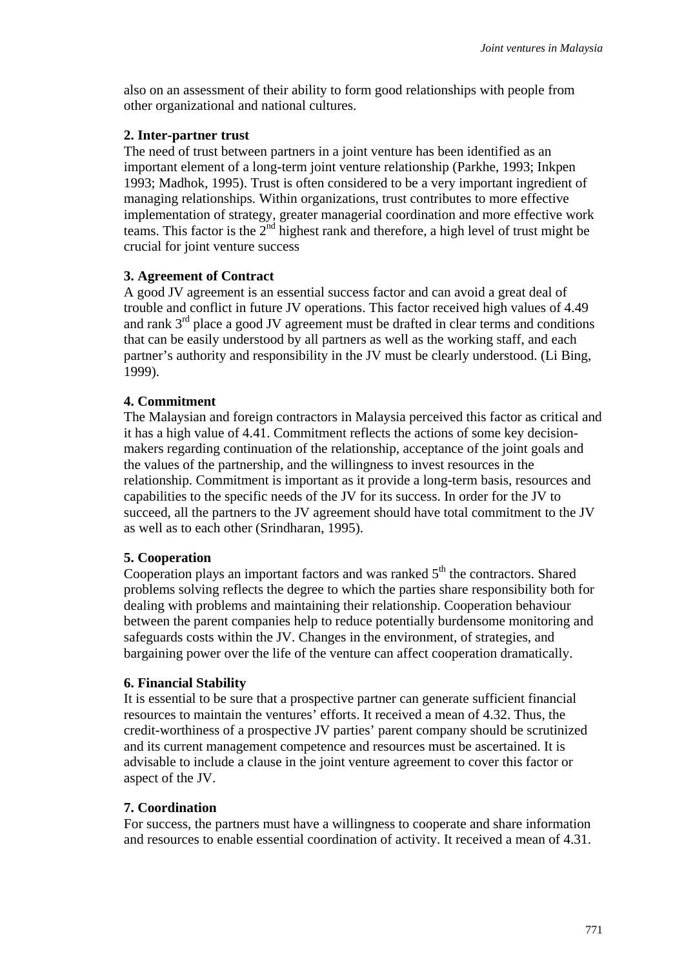also on an assessment of their ability to form good relationships with people from other organizational and national cultures.

#### **2. Inter-partner trust**

The need of trust between partners in a joint venture has been identified as an important element of a long-term joint venture relationship (Parkhe, 1993; Inkpen 1993; Madhok, 1995). Trust is often considered to be a very important ingredient of managing relationships. Within organizations, trust contributes to more effective implementation of strategy, greater managerial coordination and more effective work teams. This factor is the  $2<sup>nd</sup>$  highest rank and therefore, a high level of trust might be crucial for joint venture success

#### **3. Agreement of Contract**

A good JV agreement is an essential success factor and can avoid a great deal of trouble and conflict in future JV operations. This factor received high values of 4.49 and rank 3rd place a good JV agreement must be drafted in clear terms and conditions that can be easily understood by all partners as well as the working staff, and each partner's authority and responsibility in the JV must be clearly understood. (Li Bing, 1999).

## **4. Commitment**

The Malaysian and foreign contractors in Malaysia perceived this factor as critical and it has a high value of 4.41. Commitment reflects the actions of some key decisionmakers regarding continuation of the relationship, acceptance of the joint goals and the values of the partnership, and the willingness to invest resources in the relationship. Commitment is important as it provide a long-term basis, resources and capabilities to the specific needs of the JV for its success. In order for the JV to succeed, all the partners to the JV agreement should have total commitment to the JV as well as to each other (Srindharan, 1995).

## **5. Cooperation**

Cooperation plays an important factors and was ranked  $5<sup>th</sup>$  the contractors. Shared problems solving reflects the degree to which the parties share responsibility both for dealing with problems and maintaining their relationship. Cooperation behaviour between the parent companies help to reduce potentially burdensome monitoring and safeguards costs within the JV. Changes in the environment, of strategies, and bargaining power over the life of the venture can affect cooperation dramatically.

#### **6. Financial Stability**

It is essential to be sure that a prospective partner can generate sufficient financial resources to maintain the ventures' efforts. It received a mean of 4.32. Thus, the credit-worthiness of a prospective JV parties' parent company should be scrutinized and its current management competence and resources must be ascertained. It is advisable to include a clause in the joint venture agreement to cover this factor or aspect of the JV.

#### **7. Coordination**

For success, the partners must have a willingness to cooperate and share information and resources to enable essential coordination of activity. It received a mean of 4.31.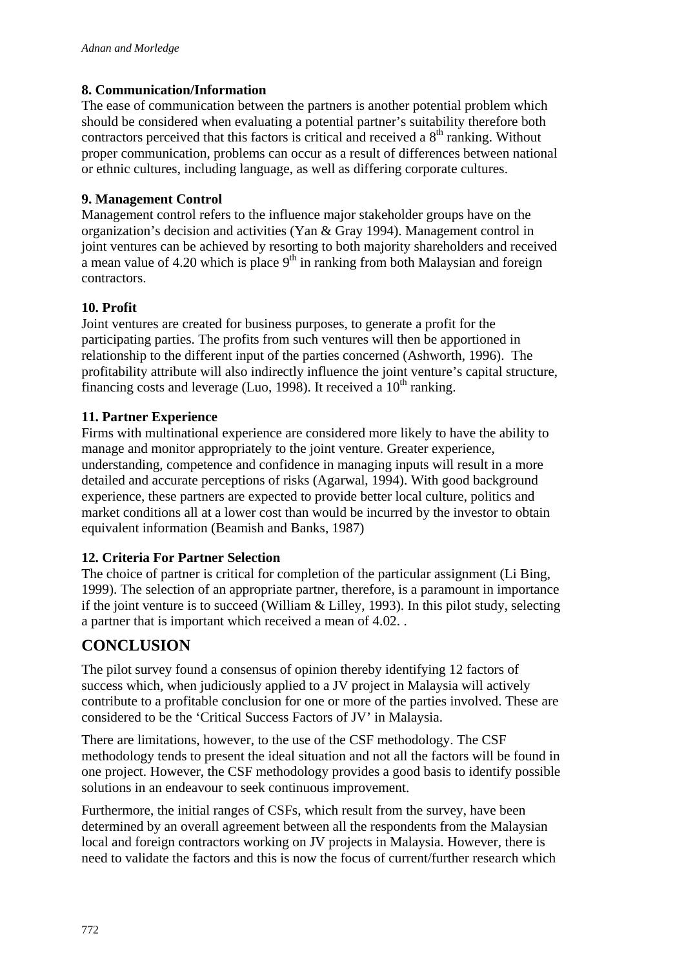#### **8. Communication/Information**

The ease of communication between the partners is another potential problem which should be considered when evaluating a potential partner's suitability therefore both contractors perceived that this factors is critical and received a  $8<sup>th</sup>$  ranking. Without proper communication, problems can occur as a result of differences between national or ethnic cultures, including language, as well as differing corporate cultures.

#### **9. Management Control**

Management control refers to the influence major stakeholder groups have on the organization's decision and activities (Yan & Gray 1994). Management control in joint ventures can be achieved by resorting to both majority shareholders and received a mean value of 4.20 which is place  $9<sup>th</sup>$  in ranking from both Malaysian and foreign contractors.

#### **10. Profit**

Joint ventures are created for business purposes, to generate a profit for the participating parties. The profits from such ventures will then be apportioned in relationship to the different input of the parties concerned (Ashworth, 1996). The profitability attribute will also indirectly influence the joint venture's capital structure, financing costs and leverage (Luo, 1998). It received a  $10<sup>th</sup>$  ranking.

#### **11. Partner Experience**

Firms with multinational experience are considered more likely to have the ability to manage and monitor appropriately to the joint venture. Greater experience, understanding, competence and confidence in managing inputs will result in a more detailed and accurate perceptions of risks (Agarwal, 1994). With good background experience, these partners are expected to provide better local culture, politics and market conditions all at a lower cost than would be incurred by the investor to obtain equivalent information (Beamish and Banks, 1987)

## **12. Criteria For Partner Selection**

The choice of partner is critical for completion of the particular assignment (Li Bing, 1999). The selection of an appropriate partner, therefore, is a paramount in importance if the joint venture is to succeed (William & Lilley, 1993). In this pilot study, selecting a partner that is important which received a mean of 4.02. .

## **CONCLUSION**

The pilot survey found a consensus of opinion thereby identifying 12 factors of success which, when judiciously applied to a JV project in Malaysia will actively contribute to a profitable conclusion for one or more of the parties involved. These are considered to be the 'Critical Success Factors of JV' in Malaysia.

There are limitations, however, to the use of the CSF methodology. The CSF methodology tends to present the ideal situation and not all the factors will be found in one project. However, the CSF methodology provides a good basis to identify possible solutions in an endeavour to seek continuous improvement.

Furthermore, the initial ranges of CSFs, which result from the survey, have been determined by an overall agreement between all the respondents from the Malaysian local and foreign contractors working on JV projects in Malaysia. However, there is need to validate the factors and this is now the focus of current/further research which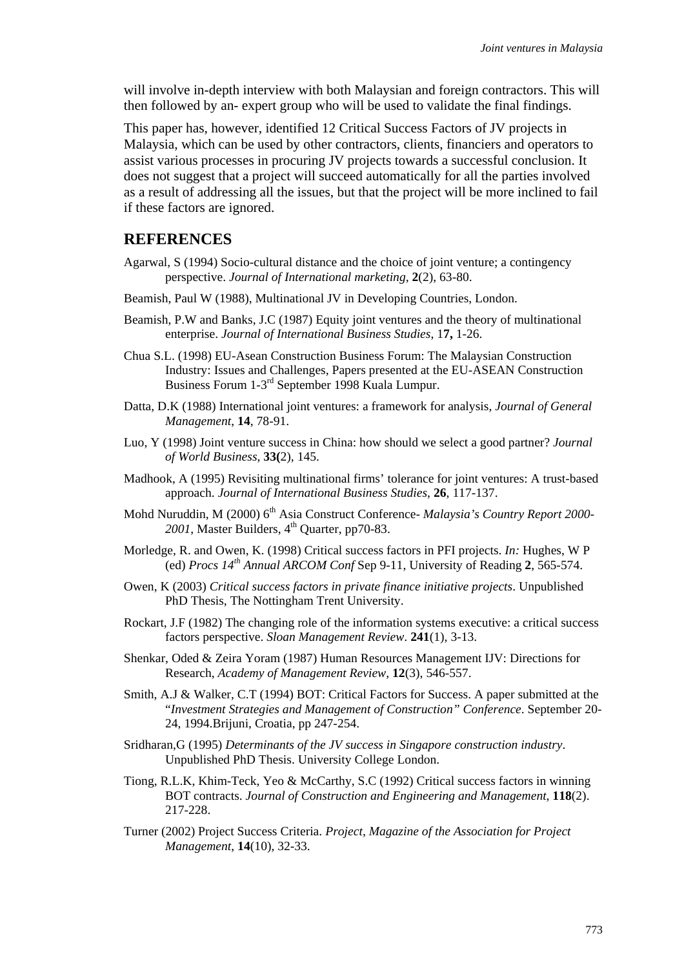will involve in-depth interview with both Malaysian and foreign contractors. This will then followed by an- expert group who will be used to validate the final findings.

This paper has, however, identified 12 Critical Success Factors of JV projects in Malaysia, which can be used by other contractors, clients, financiers and operators to assist various processes in procuring JV projects towards a successful conclusion. It does not suggest that a project will succeed automatically for all the parties involved as a result of addressing all the issues, but that the project will be more inclined to fail if these factors are ignored.

#### **REFERENCES**

- Agarwal, S (1994) Socio-cultural distance and the choice of joint venture; a contingency perspective. *Journal of International marketing,* **2**(2), 63-80.
- Beamish, Paul W (1988), Multinational JV in Developing Countries, London.
- Beamish, P.W and Banks, J.C (1987) Equity joint ventures and the theory of multinational enterprise. *Journal of International Business Studies*, 1**7,** 1-26.
- Chua S.L. (1998) EU-Asean Construction Business Forum: The Malaysian Construction Industry: Issues and Challenges, Papers presented at the EU-ASEAN Construction Business Forum 1-3rd September 1998 Kuala Lumpur.
- Datta, D.K (1988) International joint ventures: a framework for analysis, *Journal of General Management*, **14**, 78-91.
- Luo, Y (1998) Joint venture success in China: how should we select a good partner? *Journal of World Business*, **33(**2), 145.
- Madhook, A (1995) Revisiting multinational firms' tolerance for joint ventures: A trust-based approach. *Journal of International Business Studies*, **26**, 117-137.
- Mohd Nuruddin, M (2000) 6th Asia Construct Conference- *Malaysia's Country Report 2000-* 2001, Master Builders, 4<sup>th</sup> Quarter, pp70-83.
- Morledge, R. and Owen, K. (1998) Critical success factors in PFI projects. *In:* Hughes, W P (ed) *Procs 14th Annual ARCOM Conf* Sep 9-11, University of Reading **2**, 565-574.
- Owen, K (2003) *Critical success factors in private finance initiative projects*. Unpublished PhD Thesis, The Nottingham Trent University.
- Rockart, J.F (1982) The changing role of the information systems executive: a critical success factors perspective. *Sloan Management Review*. **241**(1), 3-13.
- Shenkar, Oded & Zeira Yoram (1987) Human Resources Management IJV: Directions for Research, *Academy of Management Review*, **12**(3), 546-557.
- Smith, A.J & Walker, C.T (1994) BOT: Critical Factors for Success. A paper submitted at the "*Investment Strategies and Management of Construction" Conference*. September 20- 24, 1994.Brijuni, Croatia, pp 247-254.
- Sridharan,G (1995) *Determinants of the JV success in Singapore construction industry*. Unpublished PhD Thesis. University College London.
- Tiong, R.L.K, Khim-Teck, Yeo & McCarthy, S.C (1992) Critical success factors in winning BOT contracts. *Journal of Construction and Engineering and Management*, **118**(2). 217-228.
- Turner (2002) Project Success Criteria. *Project, Magazine of the Association for Project Management*, **14**(10), 32-33.